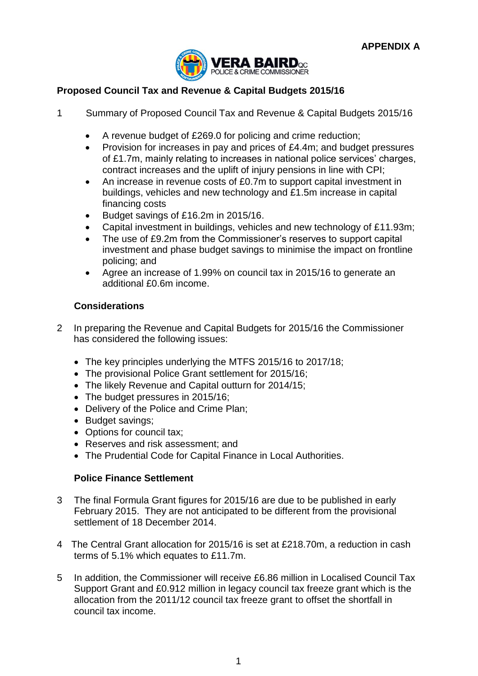

# **Proposed Council Tax and Revenue & Capital Budgets 2015/16**

- 1 Summary of Proposed Council Tax and Revenue & Capital Budgets 2015/16
	- A revenue budget of £269.0 for policing and crime reduction;
	- Provision for increases in pay and prices of £4.4m; and budget pressures of £1.7m, mainly relating to increases in national police services' charges, contract increases and the uplift of injury pensions in line with CPI;
	- An increase in revenue costs of £0.7m to support capital investment in buildings, vehicles and new technology and £1.5m increase in capital financing costs
	- Budget savings of £16.2m in 2015/16.
	- Capital investment in buildings, vehicles and new technology of £11.93m;
	- The use of £9.2m from the Commissioner's reserves to support capital investment and phase budget savings to minimise the impact on frontline policing; and
	- Agree an increase of 1.99% on council tax in 2015/16 to generate an additional £0.6m income.

## **Considerations**

- 2 In preparing the Revenue and Capital Budgets for 2015/16 the Commissioner has considered the following issues:
	- The key principles underlying the MTFS 2015/16 to 2017/18;
	- The provisional Police Grant settlement for 2015/16:
	- The likely Revenue and Capital outturn for 2014/15;
	- The budget pressures in 2015/16;
	- Delivery of the Police and Crime Plan;
	- Budget savings;
	- Options for council tax;
	- Reserves and risk assessment; and
	- The Prudential Code for Capital Finance in Local Authorities.

## **Police Finance Settlement**

- 3 The final Formula Grant figures for 2015/16 are due to be published in early February 2015. They are not anticipated to be different from the provisional settlement of 18 December 2014.
- 4 The Central Grant allocation for 2015/16 is set at £218.70m, a reduction in cash terms of 5.1% which equates to £11.7m.
- 5 In addition, the Commissioner will receive £6.86 million in Localised Council Tax Support Grant and £0.912 million in legacy council tax freeze grant which is the allocation from the 2011/12 council tax freeze grant to offset the shortfall in council tax income.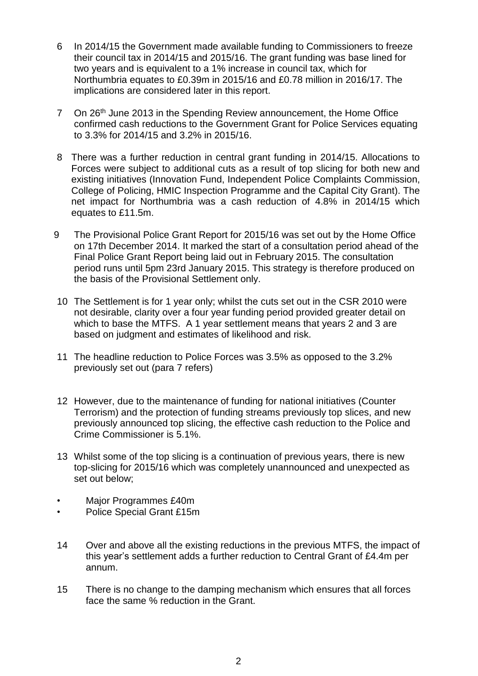- 6 In 2014/15 the Government made available funding to Commissioners to freeze their council tax in 2014/15 and 2015/16. The grant funding was base lined for two years and is equivalent to a 1% increase in council tax, which for Northumbria equates to £0.39m in 2015/16 and £0.78 million in 2016/17. The implications are considered later in this report.
- 7 On 26<sup>th</sup> June 2013 in the Spending Review announcement, the Home Office confirmed cash reductions to the Government Grant for Police Services equating to 3.3% for 2014/15 and 3.2% in 2015/16.
- 8 There was a further reduction in central grant funding in 2014/15. Allocations to Forces were subject to additional cuts as a result of top slicing for both new and existing initiatives (Innovation Fund, Independent Police Complaints Commission, College of Policing, HMIC Inspection Programme and the Capital City Grant). The net impact for Northumbria was a cash reduction of 4.8% in 2014/15 which equates to £11.5m.
- 9 The Provisional Police Grant Report for 2015/16 was set out by the Home Office on 17th December 2014. It marked the start of a consultation period ahead of the Final Police Grant Report being laid out in February 2015. The consultation period runs until 5pm 23rd January 2015. This strategy is therefore produced on the basis of the Provisional Settlement only.
- 10 The Settlement is for 1 year only; whilst the cuts set out in the CSR 2010 were not desirable, clarity over a four year funding period provided greater detail on which to base the MTFS. A 1 year settlement means that years 2 and 3 are based on judgment and estimates of likelihood and risk.
- 11 The headline reduction to Police Forces was 3.5% as opposed to the 3.2% previously set out (para 7 refers)
- 12 However, due to the maintenance of funding for national initiatives (Counter Terrorism) and the protection of funding streams previously top slices, and new previously announced top slicing, the effective cash reduction to the Police and Crime Commissioner is 5.1%.
- 13 Whilst some of the top slicing is a continuation of previous years, there is new top-slicing for 2015/16 which was completely unannounced and unexpected as set out below;
- Major Programmes £40m
- Police Special Grant £15m
- 14 Over and above all the existing reductions in the previous MTFS, the impact of this year's settlement adds a further reduction to Central Grant of £4.4m per annum.
- 15 There is no change to the damping mechanism which ensures that all forces face the same % reduction in the Grant.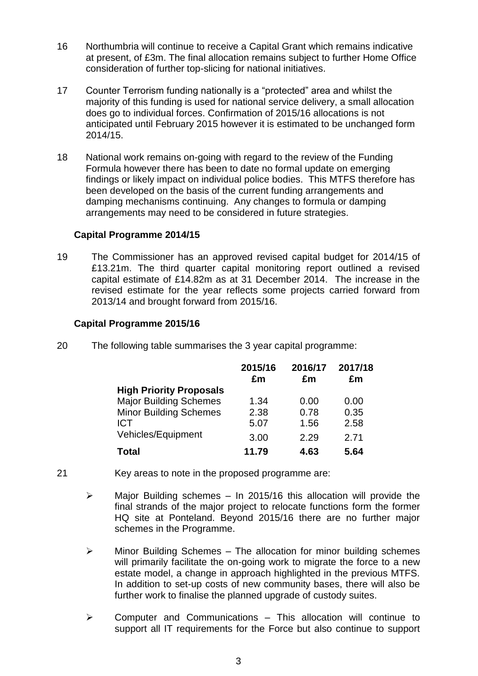- 16 Northumbria will continue to receive a Capital Grant which remains indicative at present, of £3m. The final allocation remains subject to further Home Office consideration of further top-slicing for national initiatives.
- 17 Counter Terrorism funding nationally is a "protected" area and whilst the majority of this funding is used for national service delivery, a small allocation does go to individual forces. Confirmation of 2015/16 allocations is not anticipated until February 2015 however it is estimated to be unchanged form 2014/15.
- 18 National work remains on-going with regard to the review of the Funding Formula however there has been to date no formal update on emerging findings or likely impact on individual police bodies. This MTFS therefore has been developed on the basis of the current funding arrangements and damping mechanisms continuing. Any changes to formula or damping arrangements may need to be considered in future strategies.

## **Capital Programme 2014/15**

19 The Commissioner has an approved revised capital budget for 2014/15 of £13.21m. The third quarter capital monitoring report outlined a revised capital estimate of £14.82m as at 31 December 2014. The increase in the revised estimate for the year reflects some projects carried forward from 2013/14 and brought forward from 2015/16.

## **Capital Programme 2015/16**

20 The following table summarises the 3 year capital programme:

|                                | 2015/16<br>£m | 2016/17<br>£m | 2017/18<br>£m |
|--------------------------------|---------------|---------------|---------------|
| <b>High Priority Proposals</b> |               |               |               |
| <b>Major Building Schemes</b>  | 1.34          | 0.00          | 0.00          |
| <b>Minor Building Schemes</b>  | 2.38          | 0.78          | 0.35          |
| <b>ICT</b>                     | 5.07          | 1.56          | 2.58          |
| Vehicles/Equipment             | 3.00          | 2.29          | 2.71          |
| Total                          | 11.79         | 4.63          | 5.64          |

- 21 Key areas to note in the proposed programme are:
	- $\triangleright$  Major Building schemes In 2015/16 this allocation will provide the final strands of the major project to relocate functions form the former HQ site at Ponteland. Beyond 2015/16 there are no further major schemes in the Programme.
	- $\triangleright$  Minor Building Schemes The allocation for minor building schemes will primarily facilitate the on-going work to migrate the force to a new estate model, a change in approach highlighted in the previous MTFS. In addition to set-up costs of new community bases, there will also be further work to finalise the planned upgrade of custody suites.
	- $\triangleright$  Computer and Communications This allocation will continue to support all IT requirements for the Force but also continue to support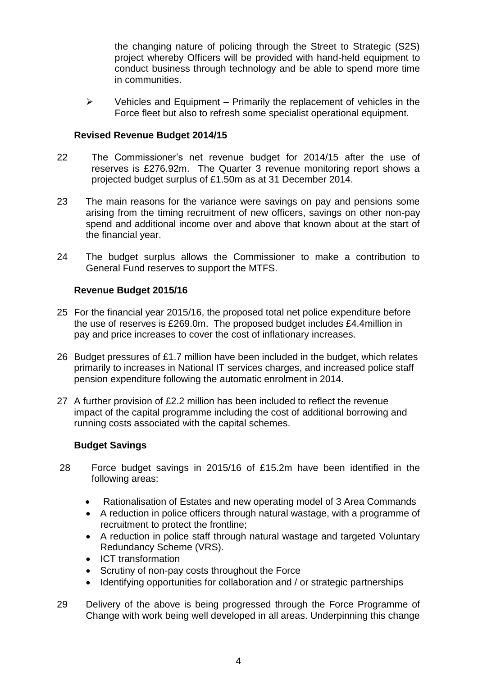the changing nature of policing through the Street to Strategic (S2S) project whereby Officers will be provided with hand-held equipment to conduct business through technology and be able to spend more time in communities.

 $\triangleright$  Vehicles and Equipment – Primarily the replacement of vehicles in the Force fleet but also to refresh some specialist operational equipment.

## **Revised Revenue Budget 2014/15**

- 22 The Commissioner's net revenue budget for 2014/15 after the use of reserves is £276.92m. The Quarter 3 revenue monitoring report shows a projected budget surplus of £1.50m as at 31 December 2014.
- 23 The main reasons for the variance were savings on pay and pensions some arising from the timing recruitment of new officers, savings on other non-pay spend and additional income over and above that known about at the start of the financial year.
- 24 The budget surplus allows the Commissioner to make a contribution to General Fund reserves to support the MTFS.

# **Revenue Budget 2015/16**

- 25 For the financial year 2015/16, the proposed total net police expenditure before the use of reserves is £269.0m. The proposed budget includes £4.4million in pay and price increases to cover the cost of inflationary increases.
- 26 Budget pressures of £1.7 million have been included in the budget, which relates primarily to increases in National IT services charges, and increased police staff pension expenditure following the automatic enrolment in 2014.
- 27 A further provision of £2.2 million has been included to reflect the revenue impact of the capital programme including the cost of additional borrowing and running costs associated with the capital schemes.

## **Budget Savings**

- 28 Force budget savings in 2015/16 of £15.2m have been identified in the following areas:
	- Rationalisation of Estates and new operating model of 3 Area Commands
	- A reduction in police officers through natural wastage, with a programme of recruitment to protect the frontline;
	- A reduction in police staff through natural wastage and targeted Voluntary Redundancy Scheme (VRS).
	- ICT transformation
	- Scrutiny of non-pay costs throughout the Force
	- Identifying opportunities for collaboration and / or strategic partnerships
- 29 Delivery of the above is being progressed through the Force Programme of Change with work being well developed in all areas. Underpinning this change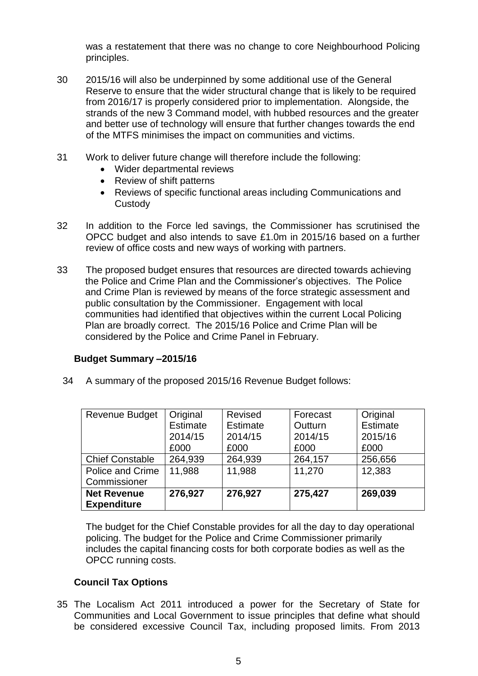was a restatement that there was no change to core Neighbourhood Policing principles.

- 30 2015/16 will also be underpinned by some additional use of the General Reserve to ensure that the wider structural change that is likely to be required from 2016/17 is properly considered prior to implementation. Alongside, the strands of the new 3 Command model, with hubbed resources and the greater and better use of technology will ensure that further changes towards the end of the MTFS minimises the impact on communities and victims.
- 31 Work to deliver future change will therefore include the following:
	- Wider departmental reviews
	- Review of shift patterns
	- Reviews of specific functional areas including Communications and **Custody**
- 32 In addition to the Force led savings, the Commissioner has scrutinised the OPCC budget and also intends to save £1.0m in 2015/16 based on a further review of office costs and new ways of working with partners.
- 33 The proposed budget ensures that resources are directed towards achieving the Police and Crime Plan and the Commissioner's objectives. The Police and Crime Plan is reviewed by means of the force strategic assessment and public consultation by the Commissioner. Engagement with local communities had identified that objectives within the current Local Policing Plan are broadly correct. The 2015/16 Police and Crime Plan will be considered by the Police and Crime Panel in February.

## **Budget Summary –2015/16**

34 A summary of the proposed 2015/16 Revenue Budget follows:

| Revenue Budget          | Original        | Revised  | Forecast | Original        |
|-------------------------|-----------------|----------|----------|-----------------|
|                         | <b>Estimate</b> | Estimate | Outturn  | <b>Estimate</b> |
|                         | 2014/15         | 2014/15  | 2014/15  | 2015/16         |
|                         | £000            | £000     | £000     | £000            |
| <b>Chief Constable</b>  | 264,939         | 264,939  | 264,157  | 256,656         |
| <b>Police and Crime</b> | 11,988          | 11,988   | 11,270   | 12,383          |
| Commissioner            |                 |          |          |                 |
| <b>Net Revenue</b>      | 276,927         | 276,927  | 275,427  | 269,039         |
| <b>Expenditure</b>      |                 |          |          |                 |

The budget for the Chief Constable provides for all the day to day operational policing. The budget for the Police and Crime Commissioner primarily includes the capital financing costs for both corporate bodies as well as the OPCC running costs.

# **Council Tax Options**

35 The Localism Act 2011 introduced a power for the Secretary of State for Communities and Local Government to issue principles that define what should be considered excessive Council Tax, including proposed limits. From 2013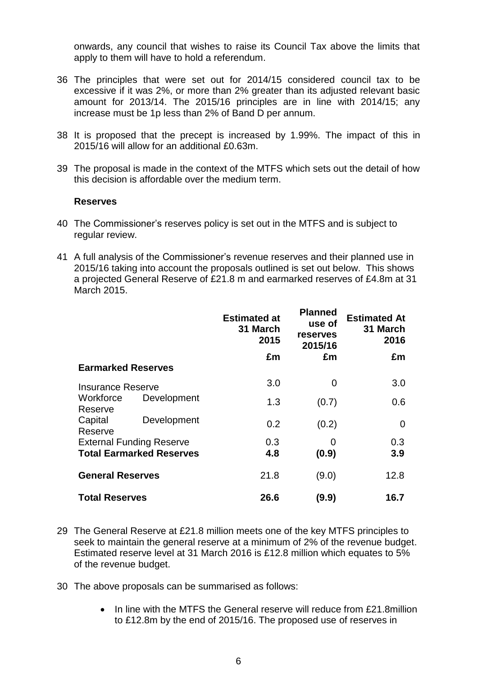onwards, any council that wishes to raise its Council Tax above the limits that apply to them will have to hold a referendum.

- 36 The principles that were set out for 2014/15 considered council tax to be excessive if it was 2%, or more than 2% greater than its adjusted relevant basic amount for 2013/14. The 2015/16 principles are in line with 2014/15; any increase must be 1p less than 2% of Band D per annum.
- 38 It is proposed that the precept is increased by 1.99%. The impact of this in 2015/16 will allow for an additional £0.63m.
- 39 The proposal is made in the context of the MTFS which sets out the detail of how this decision is affordable over the medium term.

#### **Reserves**

- 40 The Commissioner's reserves policy is set out in the MTFS and is subject to regular review.
- 41 A full analysis of the Commissioner's revenue reserves and their planned use in 2015/16 taking into account the proposals outlined is set out below. This shows a projected General Reserve of £21.8 m and earmarked reserves of £4.8m at 31 March 2015.

|                                 |                                 | <b>Estimated at</b><br>31 March<br>2015 | <b>Planned</b><br>use of<br>reserves<br>2015/16 | <b>Estimated At</b><br>31 March<br>2016 |
|---------------------------------|---------------------------------|-----------------------------------------|-------------------------------------------------|-----------------------------------------|
|                                 |                                 | £m                                      | £m                                              | £m                                      |
| <b>Earmarked Reserves</b>       |                                 |                                         |                                                 |                                         |
| <b>Insurance Reserve</b>        |                                 | 3.0                                     | 0                                               | 3.0                                     |
| Workforce<br>Reserve            | Development                     | 1.3                                     | (0.7)                                           | 0.6                                     |
| Capital<br>Reserve              | Development                     | 0.2                                     | (0.2)                                           | 0                                       |
| <b>External Funding Reserve</b> |                                 | 0.3                                     | $\Omega$                                        | 0.3                                     |
|                                 | <b>Total Earmarked Reserves</b> | 4.8                                     | (0.9)                                           | 3.9                                     |
| <b>General Reserves</b>         |                                 | 21.8                                    | (9.0)                                           | 12.8                                    |
| <b>Total Reserves</b>           |                                 | 26.6                                    | (9.9)                                           | 16.7                                    |

- 29 The General Reserve at £21.8 million meets one of the key MTFS principles to seek to maintain the general reserve at a minimum of 2% of the revenue budget. Estimated reserve level at 31 March 2016 is £12.8 million which equates to 5% of the revenue budget.
- 30 The above proposals can be summarised as follows:
	- In line with the MTFS the General reserve will reduce from £21.8million to £12.8m by the end of 2015/16. The proposed use of reserves in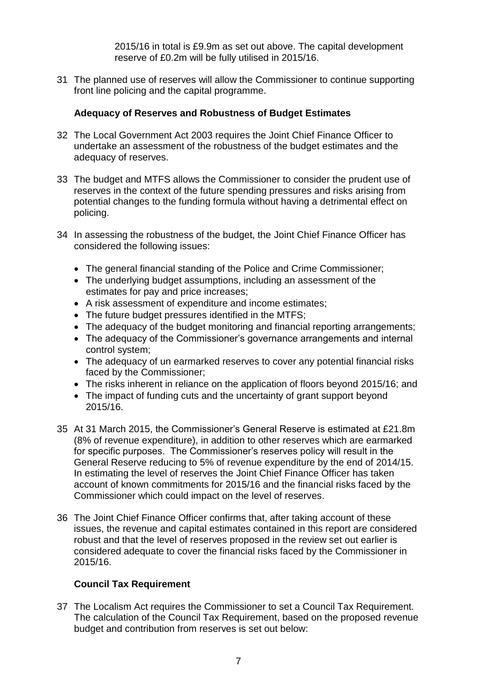2015/16 in total is £9.9m as set out above. The capital development reserve of £0.2m will be fully utilised in 2015/16.

31 The planned use of reserves will allow the Commissioner to continue supporting front line policing and the capital programme.

## **Adequacy of Reserves and Robustness of Budget Estimates**

- 32 The Local Government Act 2003 requires the Joint Chief Finance Officer to undertake an assessment of the robustness of the budget estimates and the adequacy of reserves.
- 33 The budget and MTFS allows the Commissioner to consider the prudent use of reserves in the context of the future spending pressures and risks arising from potential changes to the funding formula without having a detrimental effect on policing.
- 34 In assessing the robustness of the budget, the Joint Chief Finance Officer has considered the following issues:
	- The general financial standing of the Police and Crime Commissioner;
	- The underlying budget assumptions, including an assessment of the estimates for pay and price increases;
	- A risk assessment of expenditure and income estimates;
	- The future budget pressures identified in the MTFS;
	- The adequacy of the budget monitoring and financial reporting arrangements;
	- The adequacy of the Commissioner's governance arrangements and internal control system;
	- The adequacy of un earmarked reserves to cover any potential financial risks faced by the Commissioner;
	- The risks inherent in reliance on the application of floors beyond 2015/16; and
	- The impact of funding cuts and the uncertainty of grant support beyond 2015/16.
- 35 At 31 March 2015, the Commissioner's General Reserve is estimated at £21.8m (8% of revenue expenditure), in addition to other reserves which are earmarked for specific purposes. The Commissioner's reserves policy will result in the General Reserve reducing to 5% of revenue expenditure by the end of 2014/15. In estimating the level of reserves the Joint Chief Finance Officer has taken account of known commitments for 2015/16 and the financial risks faced by the Commissioner which could impact on the level of reserves.
- 36 The Joint Chief Finance Officer confirms that, after taking account of these issues, the revenue and capital estimates contained in this report are considered robust and that the level of reserves proposed in the review set out earlier is considered adequate to cover the financial risks faced by the Commissioner in 2015/16.

#### **Council Tax Requirement**

37 The Localism Act requires the Commissioner to set a Council Tax Requirement. The calculation of the Council Tax Requirement, based on the proposed revenue budget and contribution from reserves is set out below: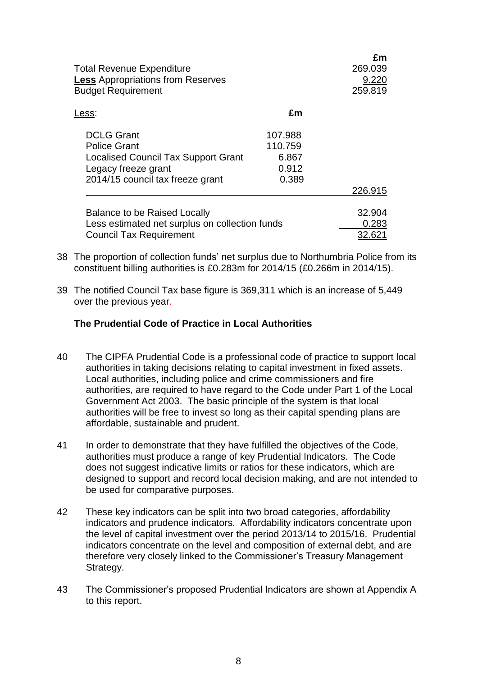| <b>Total Revenue Expenditure</b><br><b>Less</b> Appropriations from Reserves<br><b>Budget Requirement</b>                                         |                                               | £m<br>269.039<br>9.220<br>259.819 |
|---------------------------------------------------------------------------------------------------------------------------------------------------|-----------------------------------------------|-----------------------------------|
| Less:                                                                                                                                             | £m                                            |                                   |
| <b>DCLG Grant</b><br><b>Police Grant</b><br><b>Localised Council Tax Support Grant</b><br>Legacy freeze grant<br>2014/15 council tax freeze grant | 107.988<br>110.759<br>6.867<br>0.912<br>0.389 |                                   |
|                                                                                                                                                   |                                               | 226.915                           |
| <b>Balance to be Raised Locally</b><br>Less estimated net surplus on collection funds<br><b>Council Tax Requirement</b>                           |                                               | 32.904<br>0.283<br>32.621         |

- 38 The proportion of collection funds' net surplus due to Northumbria Police from its constituent billing authorities is £0.283m for 2014/15 (£0.266m in 2014/15).
- 39 The notified Council Tax base figure is 369,311 which is an increase of 5,449 over the previous year.

### **The Prudential Code of Practice in Local Authorities**

- 40 The CIPFA Prudential Code is a professional code of practice to support local authorities in taking decisions relating to capital investment in fixed assets. Local authorities, including police and crime commissioners and fire authorities, are required to have regard to the Code under Part 1 of the Local Government Act 2003. The basic principle of the system is that local authorities will be free to invest so long as their capital spending plans are affordable, sustainable and prudent.
- 41 In order to demonstrate that they have fulfilled the objectives of the Code, authorities must produce a range of key Prudential Indicators. The Code does not suggest indicative limits or ratios for these indicators, which are designed to support and record local decision making, and are not intended to be used for comparative purposes.
- 42 These key indicators can be split into two broad categories, affordability indicators and prudence indicators. Affordability indicators concentrate upon the level of capital investment over the period 2013/14 to 2015/16. Prudential indicators concentrate on the level and composition of external debt, and are therefore very closely linked to the Commissioner's Treasury Management Strategy.
- 43 The Commissioner's proposed Prudential Indicators are shown at Appendix A to this report.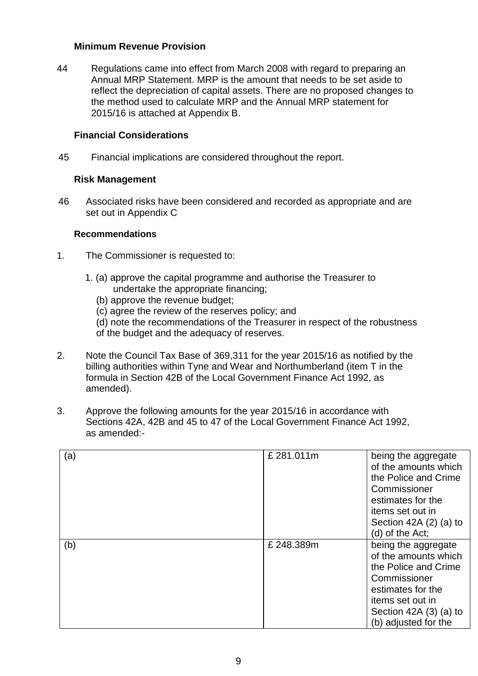### **Minimum Revenue Provision**

44 Regulations came into effect from March 2008 with regard to preparing an Annual MRP Statement. MRP is the amount that needs to be set aside to reflect the depreciation of capital assets. There are no proposed changes to the method used to calculate MRP and the Annual MRP statement for 2015/16 is attached at Appendix B.

## **Financial Considerations**

45 Financial implications are considered throughout the report.

## **Risk Management**

46 Associated risks have been considered and recorded as appropriate and are set out in Appendix C

### **Recommendations**

- 1. The Commissioner is requested to:
	- 1. (a) approve the capital programme and authorise the Treasurer to undertake the appropriate financing;
		- (b) approve the revenue budget;
		- (c) agree the review of the reserves policy; and
		- (d) note the recommendations of the Treasurer in respect of the robustness of the budget and the adequacy of reserves.
- 2. Note the Council Tax Base of 369,311 for the year 2015/16 as notified by the billing authorities within Tyne and Wear and Northumberland (item T in the formula in Section 42B of the Local Government Finance Act 1992, as amended).
- 3. Approve the following amounts for the year 2015/16 in accordance with Sections 42A, 42B and 45 to 47 of the Local Government Finance Act 1992, as amended:-

| (a) | £281.011m | being the aggregate<br>of the amounts which<br>the Police and Crime<br>Commissioner<br>estimates for the<br>items set out in<br>Section 42A $(2)$ $(a)$ to<br>(d) of the Act;  |
|-----|-----------|--------------------------------------------------------------------------------------------------------------------------------------------------------------------------------|
| (b) | £248.389m | being the aggregate<br>of the amounts which<br>the Police and Crime<br>Commissioner<br>estimates for the<br>items set out in<br>Section $42A(3)(a)$ to<br>(b) adjusted for the |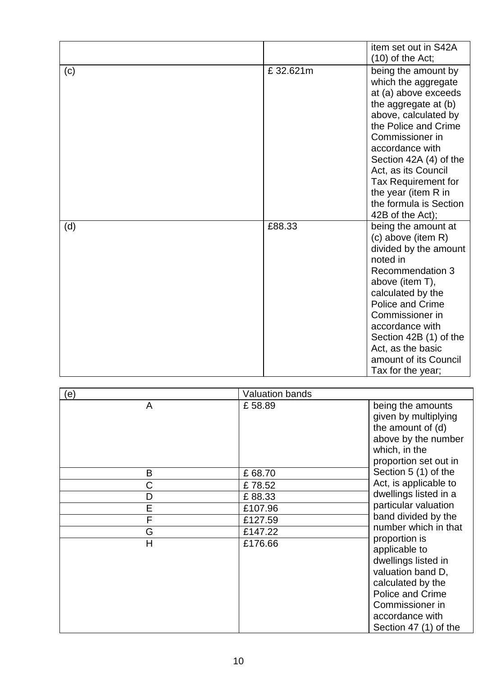|     |          | item set out in S42A<br>$(10)$ of the Act;                                                                                                                                                                                                                                                                                    |
|-----|----------|-------------------------------------------------------------------------------------------------------------------------------------------------------------------------------------------------------------------------------------------------------------------------------------------------------------------------------|
| (c) | £32.621m | being the amount by<br>which the aggregate<br>at (a) above exceeds<br>the aggregate at (b)<br>above, calculated by<br>the Police and Crime<br>Commissioner in<br>accordance with<br>Section 42A (4) of the<br>Act, as its Council<br>Tax Requirement for<br>the year (item R in<br>the formula is Section<br>42B of the Act); |
| (d) | £88.33   | being the amount at<br>(c) above (item R)<br>divided by the amount<br>noted in<br>Recommendation 3<br>above (item T),<br>calculated by the<br><b>Police and Crime</b><br>Commissioner in<br>accordance with<br>Section 42B (1) of the<br>Act, as the basic<br>amount of its Council<br>Tax for the year;                      |

| (e)                     | <b>Valuation bands</b> |                                                                                                                                                                                    |
|-------------------------|------------------------|------------------------------------------------------------------------------------------------------------------------------------------------------------------------------------|
| A                       | £58.89                 | being the amounts<br>given by multiplying<br>the amount of (d)<br>above by the number<br>which, in the<br>proportion set out in                                                    |
| B                       | £68.70                 | Section 5 (1) of the                                                                                                                                                               |
| С                       | £78.52                 | Act, is applicable to                                                                                                                                                              |
| D                       | £88.33                 | dwellings listed in a                                                                                                                                                              |
| E                       | £107.96                | particular valuation                                                                                                                                                               |
| F                       | £127.59                | band divided by the                                                                                                                                                                |
| G                       | £147.22                | number which in that                                                                                                                                                               |
| $\overline{\mathsf{H}}$ | £176.66                | proportion is<br>applicable to<br>dwellings listed in<br>valuation band D,<br>calculated by the<br>Police and Crime<br>Commissioner in<br>accordance with<br>Section 47 (1) of the |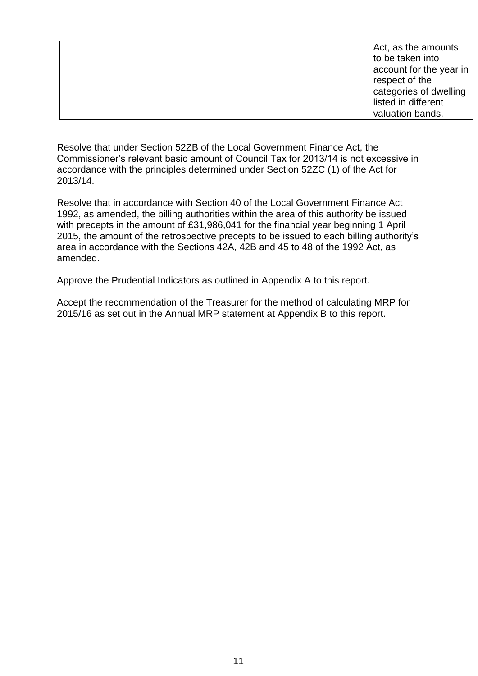| Act, as the amounts<br>to be taken into |
|-----------------------------------------|
|                                         |
| account for the year in                 |
| respect of the                          |
| categories of dwelling                  |
| listed in different                     |
| valuation bands.                        |

Resolve that under Section 52ZB of the Local Government Finance Act, the Commissioner's relevant basic amount of Council Tax for 2013/14 is not excessive in accordance with the principles determined under Section 52ZC (1) of the Act for 2013/14.

Resolve that in accordance with Section 40 of the Local Government Finance Act 1992, as amended, the billing authorities within the area of this authority be issued with precepts in the amount of £31,986,041 for the financial year beginning 1 April 2015, the amount of the retrospective precepts to be issued to each billing authority's area in accordance with the Sections 42A, 42B and 45 to 48 of the 1992 Act, as amended.

Approve the Prudential Indicators as outlined in Appendix A to this report.

Accept the recommendation of the Treasurer for the method of calculating MRP for 2015/16 as set out in the Annual MRP statement at Appendix B to this report.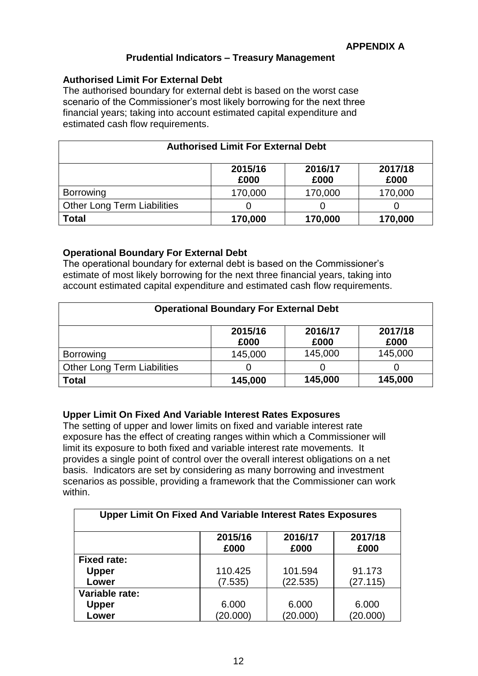## **Prudential Indicators – Treasury Management**

### **Authorised Limit For External Debt**

The authorised boundary for external debt is based on the worst case scenario of the Commissioner's most likely borrowing for the next three financial years; taking into account estimated capital expenditure and estimated cash flow requirements.

| <b>Authorised Limit For External Debt</b>     |                 |                 |                 |  |
|-----------------------------------------------|-----------------|-----------------|-----------------|--|
|                                               | 2015/16<br>£000 | 2016/17<br>£000 | 2017/18<br>£000 |  |
| <b>Borrowing</b>                              | 170,000         | 170,000         | 170,000         |  |
| <b>Other Long Term Liabilities</b>            |                 |                 |                 |  |
| <b>Total</b><br>170,000<br>170,000<br>170,000 |                 |                 |                 |  |

## **Operational Boundary For External Debt**

The operational boundary for external debt is based on the Commissioner's estimate of most likely borrowing for the next three financial years, taking into account estimated capital expenditure and estimated cash flow requirements.

| <b>Operational Boundary For External Debt</b> |                 |                 |                 |  |
|-----------------------------------------------|-----------------|-----------------|-----------------|--|
|                                               | 2015/16<br>£000 | 2016/17<br>£000 | 2017/18<br>£000 |  |
| <b>Borrowing</b>                              | 145,000         | 145,000         | 145,000         |  |
| <b>Other Long Term Liabilities</b>            |                 |                 |                 |  |
| 145,000<br>145,000<br><b>Total</b><br>145,000 |                 |                 |                 |  |

# **Upper Limit On Fixed And Variable Interest Rates Exposures**

The setting of upper and lower limits on fixed and variable interest rate exposure has the effect of creating ranges within which a Commissioner will limit its exposure to both fixed and variable interest rate movements. It provides a single point of control over the overall interest obligations on a net basis. Indicators are set by considering as many borrowing and investment scenarios as possible, providing a framework that the Commissioner can work within.

| <b>Upper Limit On Fixed And Variable Interest Rates Exposures</b> |                 |                 |                 |
|-------------------------------------------------------------------|-----------------|-----------------|-----------------|
|                                                                   | 2015/16<br>£000 | 2016/17<br>£000 | 2017/18<br>£000 |
| <b>Fixed rate:</b>                                                |                 |                 |                 |
| <b>Upper</b>                                                      | 110.425         | 101.594         | 91.173          |
| Lower                                                             | (7.535)         | (22.535)        | (27.115)        |
| Variable rate:                                                    |                 |                 |                 |
| <b>Upper</b>                                                      | 6.000           | 6.000           | 6.000           |
| Lower                                                             | (20.000)        | (20.000)        | (20.000)        |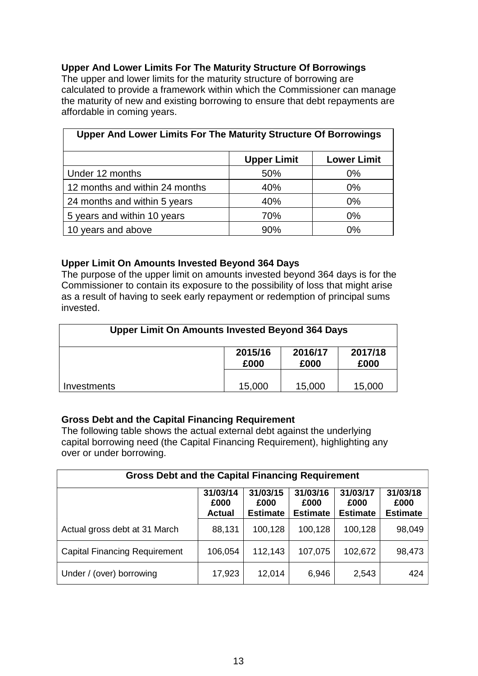## **Upper And Lower Limits For The Maturity Structure Of Borrowings**

The upper and lower limits for the maturity structure of borrowing are calculated to provide a framework within which the Commissioner can manage the maturity of new and existing borrowing to ensure that debt repayments are affordable in coming years.

| Upper And Lower Limits For The Maturity Structure Of Borrowings |                    |                    |  |
|-----------------------------------------------------------------|--------------------|--------------------|--|
|                                                                 | <b>Upper Limit</b> | <b>Lower Limit</b> |  |
| Under 12 months                                                 | 50%                | $0\%$              |  |
| 12 months and within 24 months                                  | 40%                | $0\%$              |  |
| 24 months and within 5 years                                    | 40%                | $0\%$              |  |
| 5 years and within 10 years                                     | 70%                | $0\%$              |  |
| 10 years and above                                              | 90%                | $0\%$              |  |

## **Upper Limit On Amounts Invested Beyond 364 Days**

The purpose of the upper limit on amounts invested beyond 364 days is for the Commissioner to contain its exposure to the possibility of loss that might arise as a result of having to seek early repayment or redemption of principal sums invested.

| <b>Upper Limit On Amounts Invested Beyond 364 Days</b> |                 |                 |                 |  |  |  |
|--------------------------------------------------------|-----------------|-----------------|-----------------|--|--|--|
|                                                        | 2015/16<br>£000 | 2016/17<br>£000 | 2017/18<br>£000 |  |  |  |
| <i><u><b>Investments</b></u></i>                       | 15,000          | 15,000          | 15,000          |  |  |  |

# **Gross Debt and the Capital Financing Requirement**

The following table shows the actual external debt against the underlying capital borrowing need (the Capital Financing Requirement), highlighting any over or under borrowing.

| <b>Gross Debt and the Capital Financing Requirement</b> |                                   |                                     |                                     |                                     |                                     |  |  |
|---------------------------------------------------------|-----------------------------------|-------------------------------------|-------------------------------------|-------------------------------------|-------------------------------------|--|--|
|                                                         | 31/03/14<br>£000<br><b>Actual</b> | 31/03/15<br>£000<br><b>Estimate</b> | 31/03/16<br>£000<br><b>Estimate</b> | 31/03/17<br>£000<br><b>Estimate</b> | 31/03/18<br>£000<br><b>Estimate</b> |  |  |
| Actual gross debt at 31 March                           | 88,131                            | 100,128                             | 100,128                             | 100,128                             | 98,049                              |  |  |
| <b>Capital Financing Requirement</b>                    | 106,054                           | 112,143                             | 107,075                             | 102,672                             | 98,473                              |  |  |
| Under / (over) borrowing                                | 17,923                            | 12,014                              | 6,946                               | 2,543                               | 424                                 |  |  |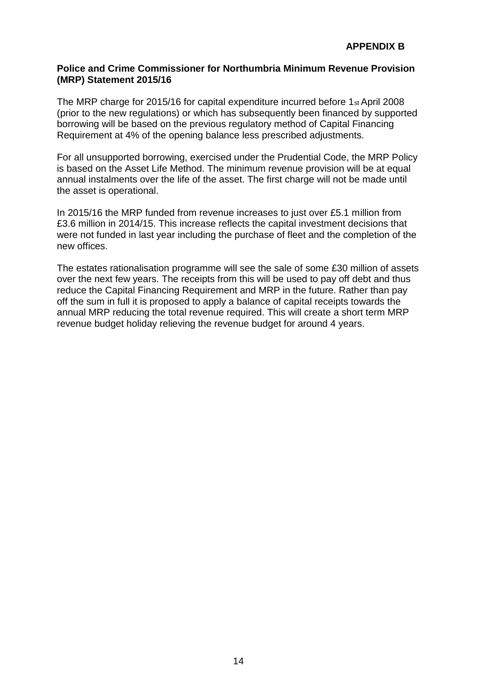### **Police and Crime Commissioner for Northumbria Minimum Revenue Provision (MRP) Statement 2015/16**

The MRP charge for 2015/16 for capital expenditure incurred before 1st April 2008 (prior to the new regulations) or which has subsequently been financed by supported borrowing will be based on the previous regulatory method of Capital Financing Requirement at 4% of the opening balance less prescribed adjustments.

For all unsupported borrowing, exercised under the Prudential Code, the MRP Policy is based on the Asset Life Method. The minimum revenue provision will be at equal annual instalments over the life of the asset. The first charge will not be made until the asset is operational.

In 2015/16 the MRP funded from revenue increases to just over £5.1 million from £3.6 million in 2014/15. This increase reflects the capital investment decisions that were not funded in last year including the purchase of fleet and the completion of the new offices.

The estates rationalisation programme will see the sale of some £30 million of assets over the next few years. The receipts from this will be used to pay off debt and thus reduce the Capital Financing Requirement and MRP in the future. Rather than pay off the sum in full it is proposed to apply a balance of capital receipts towards the annual MRP reducing the total revenue required. This will create a short term MRP revenue budget holiday relieving the revenue budget for around 4 years.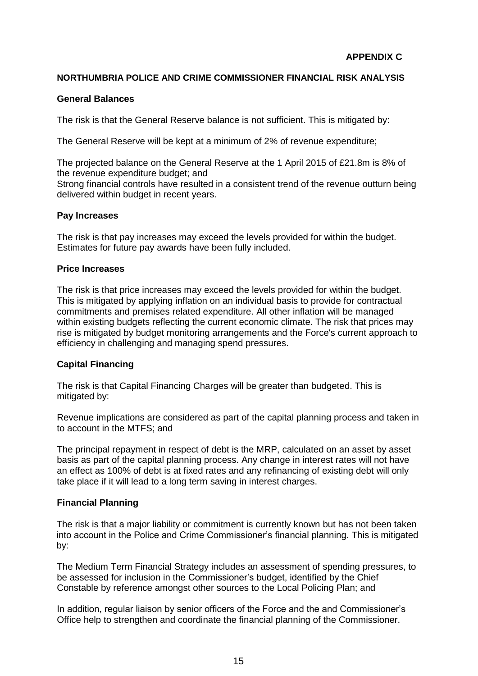### **NORTHUMBRIA POLICE AND CRIME COMMISSIONER FINANCIAL RISK ANALYSIS**

#### **General Balances**

The risk is that the General Reserve balance is not sufficient. This is mitigated by:

The General Reserve will be kept at a minimum of 2% of revenue expenditure;

The projected balance on the General Reserve at the 1 April 2015 of £21.8m is 8% of the revenue expenditure budget; and Strong financial controls have resulted in a consistent trend of the revenue outturn being delivered within budget in recent years.

### **Pay Increases**

The risk is that pay increases may exceed the levels provided for within the budget. Estimates for future pay awards have been fully included.

#### **Price Increases**

The risk is that price increases may exceed the levels provided for within the budget. This is mitigated by applying inflation on an individual basis to provide for contractual commitments and premises related expenditure. All other inflation will be managed within existing budgets reflecting the current economic climate. The risk that prices may rise is mitigated by budget monitoring arrangements and the Force's current approach to efficiency in challenging and managing spend pressures.

## **Capital Financing**

The risk is that Capital Financing Charges will be greater than budgeted. This is mitigated by:

Revenue implications are considered as part of the capital planning process and taken in to account in the MTFS; and

The principal repayment in respect of debt is the MRP, calculated on an asset by asset basis as part of the capital planning process. Any change in interest rates will not have an effect as 100% of debt is at fixed rates and any refinancing of existing debt will only take place if it will lead to a long term saving in interest charges.

## **Financial Planning**

The risk is that a major liability or commitment is currently known but has not been taken into account in the Police and Crime Commissioner's financial planning. This is mitigated by:

The Medium Term Financial Strategy includes an assessment of spending pressures, to be assessed for inclusion in the Commissioner's budget, identified by the Chief Constable by reference amongst other sources to the Local Policing Plan; and

In addition, regular liaison by senior officers of the Force and the and Commissioner's Office help to strengthen and coordinate the financial planning of the Commissioner.